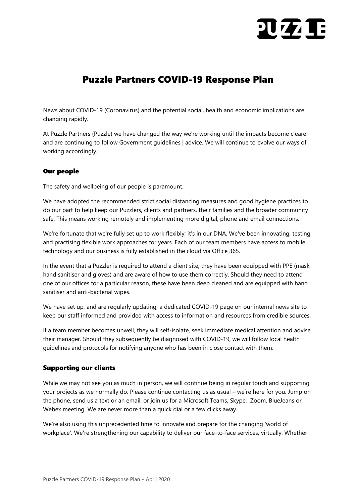# $\overline{\mathbf{U}}$

## Puzzle Partners COVID-19 Response Plan

News about COVID-19 (Coronavirus) and the potential social, health and economic implications are changing rapidly.

At Puzzle Partners (Puzzle) we have changed the way we're working until the impacts become clearer and are continuing to follow Government guidelines | advice. We will continue to evolve our ways of working accordingly.

### Our people

The safety and wellbeing of our people is paramount.

We have adopted the recommended strict social distancing measures and good hygiene practices to do our part to help keep our Puzzlers, clients and partners, their families and the broader community safe. This means working remotely and implementing more digital, phone and email connections.

We're fortunate that we're fully set up to work flexibly; it's in our DNA. We've been innovating, testing and practising flexible work approaches for years. Each of our team members have access to mobile technology and our business is fully established in the cloud via Office 365.

In the event that a Puzzler is required to attend a client site, they have been equipped with PPE (mask, hand sanitiser and gloves) and are aware of how to use them correctly. Should they need to attend one of our offices for a particular reason, these have been deep cleaned and are equipped with hand sanitiser and anti-bacterial wipes.

We have set up, and are regularly updating, a dedicated COVID-19 page on our internal news site to keep our staff informed and provided with access to information and resources from credible sources.

If a team member becomes unwell, they will self-isolate, seek immediate medical attention and advise their manager. Should they subsequently be diagnosed with COVID-19, we will follow local health guidelines and protocols for notifying anyone who has been in close contact with them.

#### Supporting our clients

While we may not see you as much in person, we will continue being in regular touch and supporting your projects as we normally do. Please continue contacting us as usual – we're here for you. Jump on the phone, send us a text or an email, or join us for a Microsoft Teams, Skype, Zoom, BlueJeans or Webex meeting. We are never more than a quick dial or a few clicks away.

We're also using this unprecedented time to innovate and prepare for the changing 'world of workplace'. We're strengthening our capability to deliver our face-to-face services, virtually. Whether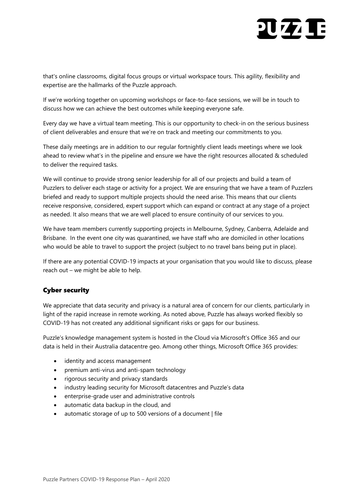# $\overline{\mathbf{U}}$

that's online classrooms, digital focus groups or virtual workspace tours. This agility, flexibility and expertise are the hallmarks of the Puzzle approach.

If we're working together on upcoming workshops or face-to-face sessions, we will be in touch to discuss how we can achieve the best outcomes while keeping everyone safe.

Every day we have a virtual team meeting. This is our opportunity to check-in on the serious business of client deliverables and ensure that we're on track and meeting our commitments to you.

These daily meetings are in addition to our regular fortnightly client leads meetings where we look ahead to review what's in the pipeline and ensure we have the right resources allocated & scheduled to deliver the required tasks.

We will continue to provide strong senior leadership for all of our projects and build a team of Puzzlers to deliver each stage or activity for a project. We are ensuring that we have a team of Puzzlers briefed and ready to support multiple projects should the need arise. This means that our clients receive responsive, considered, expert support which can expand or contract at any stage of a project as needed. It also means that we are well placed to ensure continuity of our services to you.

We have team members currently supporting projects in Melbourne, Sydney, Canberra, Adelaide and Brisbane. In the event one city was quarantined, we have staff who are domiciled in other locations who would be able to travel to support the project (subject to no travel bans being put in place).

If there are any potential COVID-19 impacts at your organisation that you would like to discuss, please reach out – we might be able to help.

### Cyber security

We appreciate that data security and privacy is a natural area of concern for our clients, particularly in light of the rapid increase in remote working. As noted above, Puzzle has always worked flexibly so COVID-19 has not created any additional significant risks or gaps for our business.

Puzzle's knowledge management system is hosted in the Cloud via Microsoft's Office 365 and our data is held in their Australia datacentre geo. Among other things, Microsoft Office 365 provides:

- identity and access management
- premium anti-virus and anti-spam technology
- rigorous security and privacy standards
- industry leading security for Microsoft datacentres and Puzzle's data
- enterprise-grade user and administrative controls
- automatic data backup in the cloud, and
- automatic storage of up to 500 versions of a document | file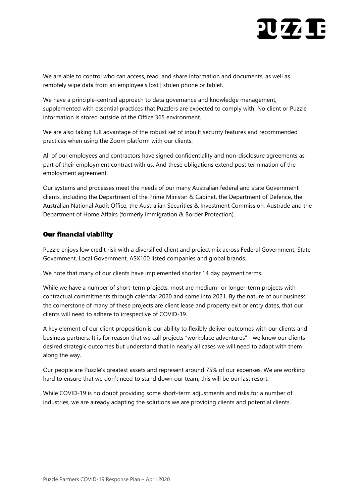# **21771**

We are able to control who can access, read, and share information and documents, as well as remotely wipe data from an employee's lost | stolen phone or tablet.

We have a principle-centred approach to data governance and knowledge management, supplemented with essential practices that Puzzlers are expected to comply with. No client or Puzzle information is stored outside of the Office 365 environment.

We are also taking full advantage of the robust set of inbuilt security features and recommended practices when using the Zoom platform with our clients.

All of our employees and contractors have signed confidentiality and non-disclosure agreements as part of their employment contract with us. And these obligations extend post termination of the employment agreement.

Our systems and processes meet the needs of our many Australian federal and state Government clients, including the Department of the Prime Minister & Cabinet, the Department of Defence, the Australian National Audit Office, the Australian Securities & Investment Commission, Austrade and the Department of Home Affairs (formerly Immigration & Border Protection).

### Our financial viability

Puzzle enjoys low credit risk with a diversified client and project mix across Federal Government, State Government, Local Government, ASX100 listed companies and global brands.

We note that many of our clients have implemented shorter 14 day payment terms.

While we have a number of short-term projects, most are medium- or longer-term projects with contractual commitments through calendar 2020 and some into 2021. By the nature of our business, the cornerstone of many of these projects are client lease and property exit or entry dates, that our clients will need to adhere to irrespective of COVID-19.

A key element of our client proposition is our ability to flexibly deliver outcomes with our clients and business partners. It is for reason that we call projects "workplace adventures" - we know our clients desired strategic outcomes but understand that in nearly all cases we will need to adapt with them along the way.

Our people are Puzzle's greatest assets and represent around 75% of our expenses. We are working hard to ensure that we don't need to stand down our team; this will be our last resort.

While COVID-19 is no doubt providing some short-term adjustments and risks for a number of industries, we are already adapting the solutions we are providing clients and potential clients.